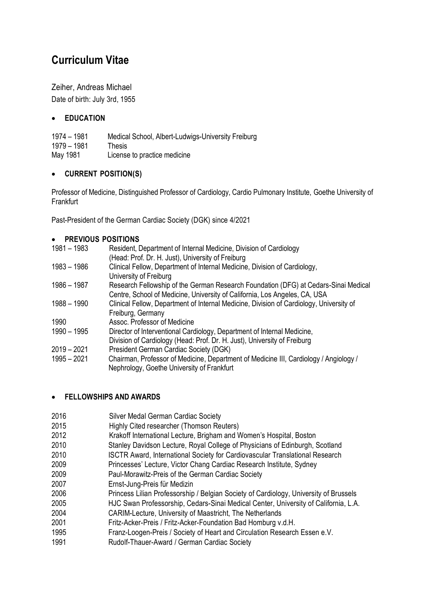# **Curriculum Vitae**

Zeiher, Andreas Michael Date of birth: July 3rd, 1955

#### **EDUCATION**

1974 – 1981 Medical School, Albert-Ludwigs-University Freiburg 1979 – 1981 Thesis May 1981 License to practice medicine

#### **CURRENT POSITION(S)**

Professor of Medicine, Distinguished Professor of Cardiology, Cardio Pulmonary Institute, Goethe University of Frankfurt

Past-President of the German Cardiac Society (DGK) since 4/2021

|  | <b>PREVIOUS POSITIONS</b> |
|--|---------------------------|
|--|---------------------------|

| $1981 - 1983$ | Resident, Department of Internal Medicine, Division of Cardiology<br>(Head: Prof. Dr. H. Just), University of Freiburg                                            |
|---------------|-------------------------------------------------------------------------------------------------------------------------------------------------------------------|
| 1983 – 1986   | Clinical Fellow, Department of Internal Medicine, Division of Cardiology,<br>University of Freiburg                                                               |
| 1986 – 1987   | Research Fellowship of the German Research Foundation (DFG) at Cedars-Sinai Medical<br>Centre, School of Medicine, University of California, Los Angeles, CA, USA |
| 1988 – 1990   | Clinical Fellow, Department of Internal Medicine, Division of Cardiology, University of<br>Freiburg, Germany                                                      |
| 1990          | Assoc. Professor of Medicine                                                                                                                                      |
| 1990 - 1995   | Director of Interventional Cardiology, Department of Internal Medicine,<br>Division of Cardiology (Head: Prof. Dr. H. Just), University of Freiburg               |
| $2019 - 2021$ | President German Cardiac Society (DGK)                                                                                                                            |
| $1995 - 2021$ | Chairman, Professor of Medicine, Department of Medicine III, Cardiology / Angiology /<br>Nephrology, Goethe University of Frankfurt                               |

#### **FELLOWSHIPS AND AWARDS**

| 2016 | Silver Medal German Cardiac Society                                                   |
|------|---------------------------------------------------------------------------------------|
| 2015 | Highly Cited researcher (Thomson Reuters)                                             |
| 2012 | Krakoff International Lecture, Brigham and Women's Hospital, Boston                   |
| 2010 | Stanley Davidson Lecture, Royal College of Physicians of Edinburgh, Scotland          |
| 2010 | ISCTR Award, International Society for Cardiovascular Translational Research          |
| 2009 | Princesses' Lecture, Victor Chang Cardiac Research Institute, Sydney                  |
| 2009 | Paul-Morawitz-Preis of the German Cardiac Society                                     |
| 2007 | Ernst-Jung-Preis für Medizin                                                          |
| 2006 | Princess Lilian Professorship / Belgian Society of Cardiology, University of Brussels |
| 2005 | HJC Swan Professorship, Cedars-Sinai Medical Center, University of California, L.A.   |
| 2004 | CARIM-Lecture, University of Maastricht, The Netherlands                              |
| 2001 | Fritz-Acker-Preis / Fritz-Acker-Foundation Bad Homburg v.d.H.                         |
| 1995 | Franz-Loogen-Preis / Society of Heart and Circulation Research Essen e.V.             |
| 1991 | Rudolf-Thauer-Award / German Cardiac Society                                          |
|      |                                                                                       |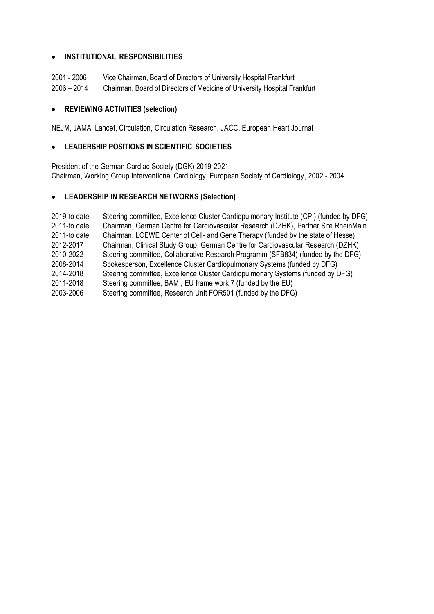#### **INSTITUTIONAL RESPONSIBILITIES**

| 2001 - 2006   | Vice Chairman, Board of Directors of University Hospital Frankfurt        |
|---------------|---------------------------------------------------------------------------|
| $2006 - 2014$ | Chairman, Board of Directors of Medicine of University Hospital Frankfurt |

#### **REVIEWING ACTIVITIES (selection)**

NEJM, JAMA, Lancet, Circulation, Circulation Research, JACC, European Heart Journal

#### **LEADERSHIP POSITIONS IN SCIENTIFIC SOCIETIES**

President of the German Cardiac Society (DGK) 2019-2021 Chairman, Working Group Interventional Cardiology, European Society of Cardiology, 2002 - 2004

#### **LEADERSHIP IN RESEARCH NETWORKS (Selection)**

2019-to date Steering committee, Excellence Cluster Cardiopulmonary Institute (CPI) (funded by DFG) 2011-to date Chairman, German Centre for Cardiovascular Research (DZHK), Partner Site RheinMain 2011-to date Chairman, LOEWE Center of Cell- and Gene Therapy (funded by the state of Hesse) 2012-2017 Chairman, Clinical Study Group, German Centre for Cardiovascular Research (DZHK) 2010-2022 Steering committee, Collaborative Research Programm (SFB834) (funded by the DFG) 2008-2014 Spokesperson, Excellence Cluster Cardiopulmonary Systems (funded by DFG) 2014-2018 Steering committee, Excellence Cluster Cardiopulmonary Systems (funded by DFG) 2011-2018 Steering committee, BAMI, EU frame work 7 (funded by the EU) 2003-2006 Steering committee, Research Unit FOR501 (funded by the DFG)